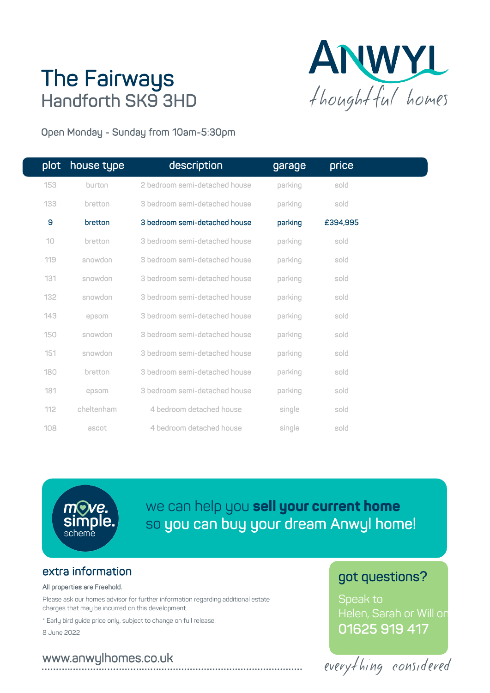# **The Fairways<br>Handforth SK9 3HD**



Open Monday - Sunday from 10am-5:30pm

| plot | house type | description                   | garage  | price    |  |
|------|------------|-------------------------------|---------|----------|--|
| 153  | burton     | 2 bedroom semi-detached house | parking | sold     |  |
| 133  | bretton    | 3 bedroom semi-detached house | parking | sold     |  |
| 9    | bretton    | 3 bedroom semi-detached house | parking | £394,995 |  |
| 10   | bretton    | 3 bedroom semi-detached house | parking | sold     |  |
| 119  | snowdon    | 3 bedroom semi-detached house | parking | sold     |  |
| 131  | snowdon    | 3 bedroom semi-detached house | parking | sold     |  |
| 132  | snowdon    | 3 bedroom semi-detached house | parking | sold     |  |
| 143  | epsom      | 3 bedroom semi-detached house | parking | sold     |  |
| 150  | snowdon    | 3 bedroom semi-detached house | parking | sold     |  |
| 151  | snowdon    | 3 bedroom semi-detached house | parking | sold     |  |
| 180  | bretton    | 3 bedroom semi-detached house | parking | sold     |  |
| 181  | epsom      | 3 bedroom semi-detached house | parking | sold     |  |
| 112  | cheltenham | 4 bedroom detached house      | single  | sold     |  |
| 108  | ascot      | 4 bedroom detached house      | single  | sold     |  |

we can help you **sell your current home** so you can buy your dream Anwyl home!

## extra information

## All properties are Freehold.

Please ask our homes advisor for further information regarding additional estate charges that may be incurred on this development.

\* Early bird guide price only, subject to change on full release.

8 June 2022

### **.** w **...** w **...** w **... .** . a **...** n **..** w **...** y ...<br>... l **.** h **..** o **..** m **....** e **..** s **.. .** . c **...** o **.. .** . u **..** k

# got questions?

Speak to Helen, Sarah or Will on 01625 919 417